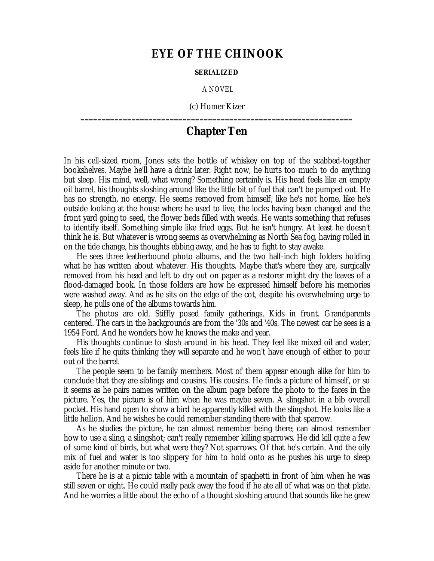## **EYE OF THE CHINOOK**

## **SERIALIZED**

A NOVEL

(c) Homer Kizer **\_\_\_\_\_\_\_\_\_\_\_\_\_\_\_\_\_\_\_\_\_\_\_\_\_\_\_\_\_\_\_\_\_\_\_\_\_\_\_\_\_\_\_\_\_\_\_\_\_\_\_\_\_\_\_\_\_\_\_\_\_\_\_\_**

## **Chapter Ten**

In his cell-sized room, Jones sets the bottle of whiskey on top of the scabbed-together bookshelves. Maybe he'll have a drink later. Right now, he hurts too much to do anything but sleep. His mind, well, what wrong? Something certainly is. His head feels like an empty oil barrel, his thoughts sloshing around like the little bit of fuel that can't be pumped out. He has no strength, no energy. He seems removed from himself, like he's not home, like he's outside looking at the house where he used to live, the locks having been changed and the front yard going to seed, the flower beds filled with weeds. He wants something that refuses to identify itself. Something simple like fried eggs. But he isn't hungry. At least he doesn't think he is. But whatever is wrong seems as overwhelming as North Sea fog, having rolled in on the tide change, his thoughts ebbing away, and he has to fight to stay awake.

He sees three leatherbound photo albums, and the two half-inch high folders holding what he has written about whatever. His thoughts. Maybe that's where they are, surgically removed from his head and left to dry out on paper as a restorer might dry the leaves of a flood-damaged book. In those folders are how he expressed himself before his memories were washed away. And as he sits on the edge of the cot, despite his overwhelming urge to sleep, he pulls one of the albums towards him.

The photos are old. Stiffly posed family gatherings. Kids in front. Grandparents centered. The cars in the backgrounds are from the '30s and '40s. The newest car he sees is a 1954 Ford. And he wonders how he knows the make and year.

His thoughts continue to slosh around in his head. They feel like mixed oil and water, feels like if he quits thinking they will separate and he won't have enough of either to pour out of the barrel.

The people seem to be family members. Most of them appear enough alike for him to conclude that they are siblings and cousins. His cousins. He finds a picture of himself, or so it seems as he pairs names written on the album page before the photo to the faces in the picture. Yes, the picture is of him when he was maybe seven. A slingshot in a bib overall pocket. His hand open to show a bird he apparently killed with the slingshot. He looks like a little hellion. And he wishes he could remember standing there with that sparrow.

As he studies the picture, he can almost remember being there; can almost remember how to use a sling, a slingshot; can't really remember killing sparrows. He did kill quite a few of some kind of birds, but what were they? Not sparrows. Of that he's certain. And the oily mix of fuel and water is too slippery for him to hold onto as he pushes his urge to sleep aside for another minute or two.

There he is at a picnic table with a mountain of spaghetti in front of him when he was still seven or eight. He could really pack away the food if he ate all of what was on that plate. And he worries a little about the echo of a thought sloshing around that sounds like he grew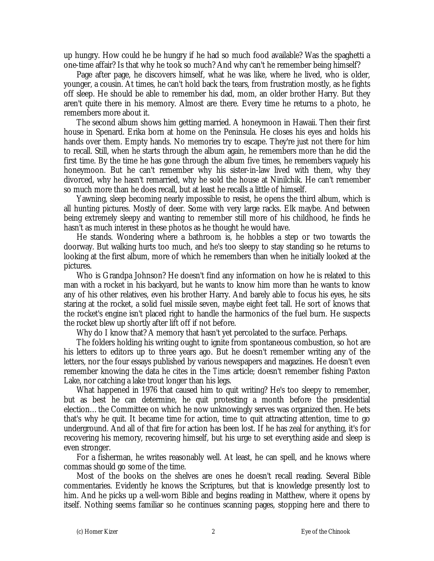up hungry. How could he be hungry if he had so much food available? Was the spaghetti a one-time affair? Is that why he took so much? And why can't he remember being himself?

Page after page, he discovers himself, what he was like, where he lived, who is older, younger, a cousin. At times, he can't hold back the tears, from frustration mostly, as he fights off sleep. He should be able to remember his dad, mom, an older brother Harry. But they aren't quite there in his memory. Almost are there. Every time he returns to a photo, he remembers more about it.

The second album shows him getting married. A honeymoon in Hawaii. Then their first house in Spenard. Erika born at home on the Peninsula. He closes his eyes and holds his hands over them. Empty hands. No memories try to escape. They're just not there for him to recall. Still, when he starts through the album again, he remembers more than he did the first time. By the time he has gone through the album five times, he remembers vaguely his honeymoon. But he can't remember why his sister-in-law lived with them, why they divorced, why he hasn't remarried, why he sold the house at Ninilchik. He can't remember so much more than he does recall, but at least he recalls a little of himself.

Yawning, sleep becoming nearly impossible to resist, he opens the third album, which is all hunting pictures. Mostly of deer. Some with very large racks. Elk maybe. And between being extremely sleepy and wanting to remember still more of his childhood, he finds he hasn't as much interest in these photos as he thought he would have.

He stands. Wondering where a bathroom is, he hobbles a step or two towards the doorway. But walking hurts too much, and he's too sleepy to stay standing so he returns to looking at the first album, more of which he remembers than when he initially looked at the pictures.

Who is Grandpa Johnson? He doesn't find any information on how he is related to this man with a rocket in his backyard, but he wants to know him more than he wants to know any of his other relatives, even his brother Harry. And barely able to focus his eyes, he sits staring at the rocket, a solid fuel missile seven, maybe eight feet tall. He sort of knows that the rocket's engine isn't placed right to handle the harmonics of the fuel burn. He suspects the rocket blew up shortly after lift off if not before.

Why do I know that? A memory that hasn't yet percolated to the surface. Perhaps.

The folders holding his writing ought to ignite from spontaneous combustion, so hot are his letters to editors up to three years ago. But he doesn't remember writing any of the letters, nor the four essays published by various newspapers and magazines. He doesn't even remember knowing the data he cites in the *Times* article; doesn't remember fishing Paxton Lake, nor catching a lake trout longer than his legs.

What happened in 1976 that caused him to quit writing? He's too sleepy to remember, but as best he can determine, he quit protesting a month before the presidential election… the Committee on which he now unknowingly serves was organized then. He bets that's why he quit. It became time for action, time to quit attracting attention, time to go underground. And all of that fire for action has been lost. If he has zeal for anything, it's for recovering his memory, recovering himself, but his urge to set everything aside and sleep is even stronger.

For a fisherman, he writes reasonably well. At least, he can spell, and he knows where commas should go some of the time.

Most of the books on the shelves are ones he doesn't recall reading. Several Bible commentaries. Evidently he knows the Scriptures, but that is knowledge presently lost to him. And he picks up a well-worn Bible and begins reading in Matthew, where it opens by itself. Nothing seems familiar so he continues scanning pages, stopping here and there to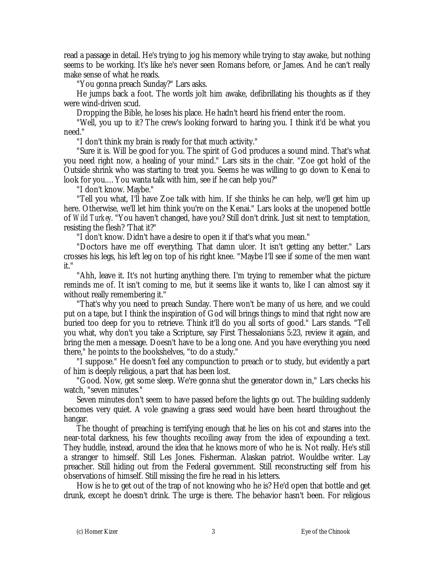read a passage in detail. He's trying to jog his memory while trying to stay awake, but nothing seems to be working. It's like he's never seen Romans before, or James. And he can't really make sense of what he reads.

"You gonna preach Sunday?" Lars asks.

He jumps back a foot. The words jolt him awake, defibrillating his thoughts as if they were wind-driven scud.

Dropping the Bible, he loses his place. He hadn't heard his friend enter the room.

"Well, you up to it? The crew's looking forward to haring you. I think it'd be what you need."

"I don't think my brain is ready for that much activity."

"Sure it is. Will be good for you. The spirit of God produces a sound mind. That's what you need right now, a healing of your mind." Lars sits in the chair. "Zoe got hold of the Outside shrink who was starting to treat you. Seems he was willing to go down to Kenai to look for you.… You wanta talk with him, see if he can help you?"

"I don't know. Maybe."

"Tell you what, I'll have Zoe talk with him. If she thinks he can help, we'll get him up here. Otherwise, we'll let him think you're on the Kenai." Lars looks at the unopened bottle of *Wild Turkey*. "You haven't changed, have you? Still don't drink. Just sit next to temptation, resisting the flesh? 'That it?"

"I don't know. Didn't have a desire to open it if that's what you mean."

"Doctors have me off everything. That damn ulcer. It isn't getting any better." Lars crosses his legs, his left leg on top of his right knee. "Maybe I'll see if some of the men want it."

"Ahh, leave it. It's not hurting anything there. I'm trying to remember what the picture reminds me of. It isn't coming to me, but it seems like it wants to, like I can almost say it without really remembering it."

"That's why you need to preach Sunday. There won't be many of us here, and we could put on a tape, but I think the inspiration of God will brings things to mind that right now are buried too deep for you to retrieve. Think it'll do you all sorts of good." Lars stands. "Tell you what, why don't you take a Scripture, say First Thessalonians 5:23, review it again, and bring the men a message. Doesn't have to be a long one. And you have everything you need there," he points to the bookshelves, "to do a study."

"I suppose." He doesn't feel any compunction to preach or to study, but evidently a part of him is deeply religious, a part that has been lost.

"Good. Now, get some sleep. We're gonna shut the generator down in," Lars checks his watch, "seven minutes."

Seven minutes don't seem to have passed before the lights go out. The building suddenly becomes very quiet. A vole gnawing a grass seed would have been heard throughout the hangar.

The thought of preaching is terrifying enough that he lies on his cot and stares into the near-total darkness, his few thoughts recoiling away from the idea of expounding a text. They huddle, instead, around the idea that he knows more of who he is. Not really. He's still a stranger to himself. Still Les Jones. Fisherman. Alaskan patriot. Wouldbe writer. Lay preacher. Still hiding out from the Federal government. Still reconstructing self from his observations of himself. Still missing the fire he read in his letters.

How is he to get out of the trap of not knowing who he is? He'd open that bottle and get drunk, except he doesn't drink. The urge is there. The behavior hasn't been. For religious